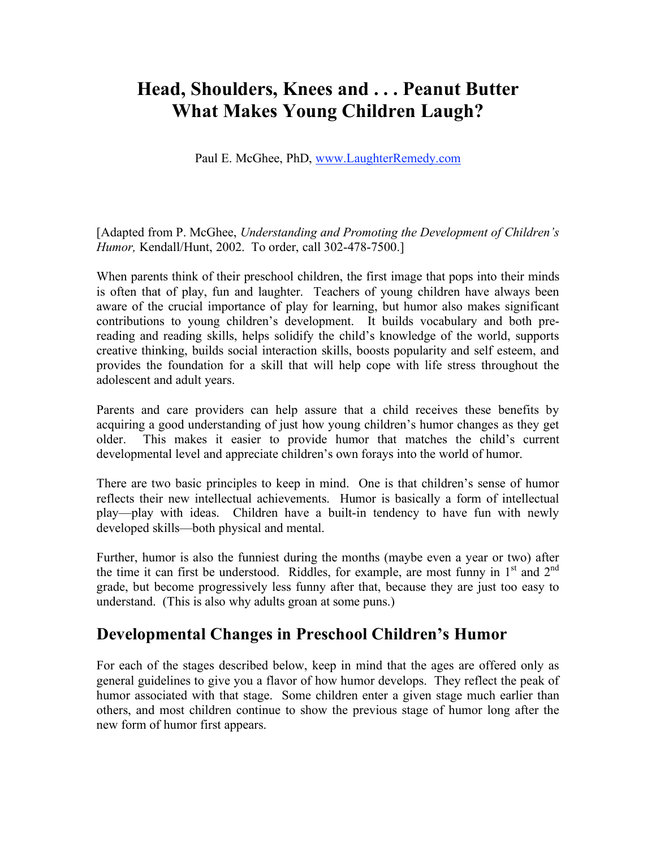# **Head, Shoulders, Knees and . . . Peanut Butter What Makes Young Children Laugh?**

Paul E. McGhee, PhD, www.LaughterRemedy.com

[Adapted from P. McGhee, *Understanding and Promoting the Development of Children's Humor,* Kendall/Hunt, 2002. To order, call 302-478-7500.]

When parents think of their preschool children, the first image that pops into their minds is often that of play, fun and laughter. Teachers of young children have always been aware of the crucial importance of play for learning, but humor also makes significant contributions to young children's development. It builds vocabulary and both prereading and reading skills, helps solidify the child's knowledge of the world, supports creative thinking, builds social interaction skills, boosts popularity and self esteem, and provides the foundation for a skill that will help cope with life stress throughout the adolescent and adult years.

Parents and care providers can help assure that a child receives these benefits by acquiring a good understanding of just how young children's humor changes as they get older. This makes it easier to provide humor that matches the child's current developmental level and appreciate children's own forays into the world of humor.

There are two basic principles to keep in mind. One is that children's sense of humor reflects their new intellectual achievements. Humor is basically a form of intellectual play—play with ideas. Children have a built-in tendency to have fun with newly developed skills—both physical and mental.

Further, humor is also the funniest during the months (maybe even a year or two) after the time it can first be understood. Riddles, for example, are most funny in  $1<sup>st</sup>$  and  $2<sup>nd</sup>$ grade, but become progressively less funny after that, because they are just too easy to understand. (This is also why adults groan at some puns.)

## **Developmental Changes in Preschool Children's Humor**

For each of the stages described below, keep in mind that the ages are offered only as general guidelines to give you a flavor of how humor develops. They reflect the peak of humor associated with that stage. Some children enter a given stage much earlier than others, and most children continue to show the previous stage of humor long after the new form of humor first appears.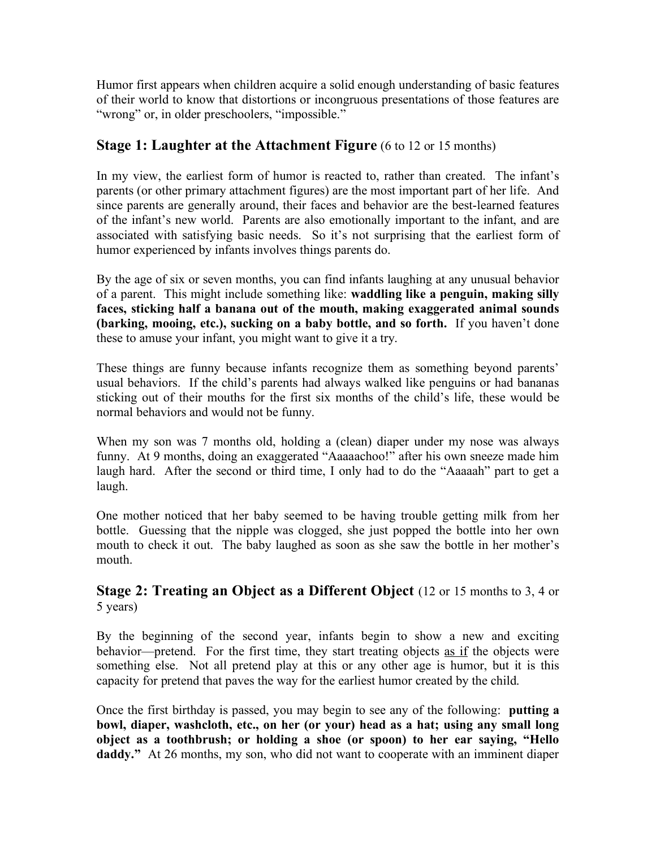Humor first appears when children acquire a solid enough understanding of basic features of their world to know that distortions or incongruous presentations of those features are "wrong" or, in older preschoolers, "impossible."

### **Stage 1: Laughter at the Attachment Figure** (6 to 12 or 15 months)

In my view, the earliest form of humor is reacted to, rather than created. The infant's parents (or other primary attachment figures) are the most important part of her life. And since parents are generally around, their faces and behavior are the best-learned features of the infant's new world. Parents are also emotionally important to the infant, and are associated with satisfying basic needs. So it's not surprising that the earliest form of humor experienced by infants involves things parents do.

By the age of six or seven months, you can find infants laughing at any unusual behavior of a parent. This might include something like: **waddling like a penguin, making silly faces, sticking half a banana out of the mouth, making exaggerated animal sounds (barking, mooing, etc.), sucking on a baby bottle, and so forth.** If you haven't done these to amuse your infant, you might want to give it a try.

These things are funny because infants recognize them as something beyond parents' usual behaviors. If the child's parents had always walked like penguins or had bananas sticking out of their mouths for the first six months of the child's life, these would be normal behaviors and would not be funny.

When my son was 7 months old, holding a (clean) diaper under my nose was always funny. At 9 months, doing an exaggerated "Aaaaachoo!" after his own sneeze made him laugh hard. After the second or third time, I only had to do the "Aaaaah" part to get a laugh.

One mother noticed that her baby seemed to be having trouble getting milk from her bottle. Guessing that the nipple was clogged, she just popped the bottle into her own mouth to check it out. The baby laughed as soon as she saw the bottle in her mother's mouth.

### **Stage 2: Treating an Object as a Different Object** (12 or 15 months to 3, 4 or 5 years)

By the beginning of the second year, infants begin to show a new and exciting behavior—pretend. For the first time, they start treating objects as if the objects were something else. Not all pretend play at this or any other age is humor, but it is this capacity for pretend that paves the way for the earliest humor created by the child.

Once the first birthday is passed, you may begin to see any of the following: **putting a bowl, diaper, washcloth, etc., on her (or your) head as a hat; using any small long object as a toothbrush; or holding a shoe (or spoon) to her ear saying, "Hello daddy."** At 26 months, my son, who did not want to cooperate with an imminent diaper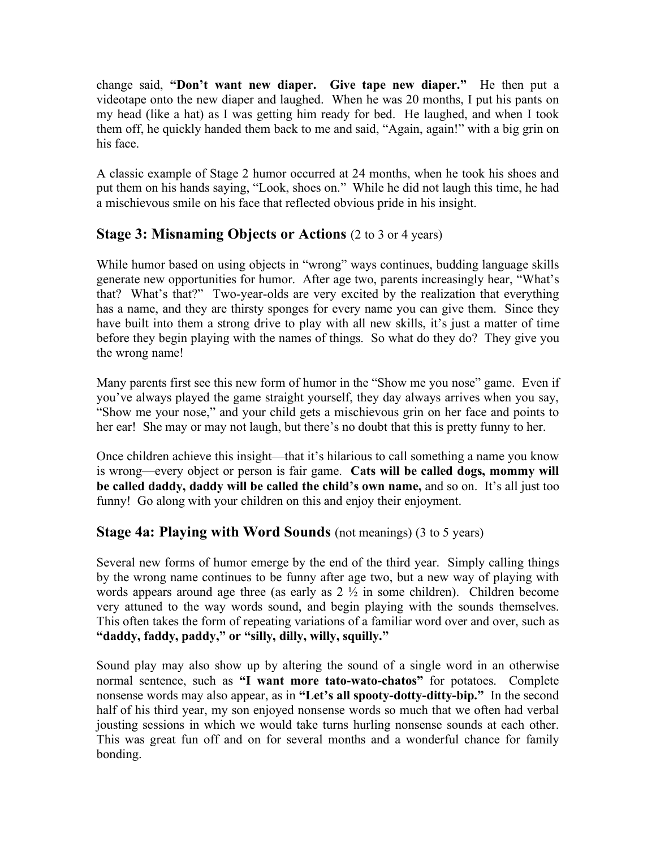change said, **"Don't want new diaper. Give tape new diaper."** He then put a videotape onto the new diaper and laughed. When he was 20 months, I put his pants on my head (like a hat) as I was getting him ready for bed. He laughed, and when I took them off, he quickly handed them back to me and said, "Again, again!" with a big grin on his face.

A classic example of Stage 2 humor occurred at 24 months, when he took his shoes and put them on his hands saying, "Look, shoes on." While he did not laugh this time, he had a mischievous smile on his face that reflected obvious pride in his insight.

#### **Stage 3: Misnaming Objects or Actions** (2 to 3 or 4 years)

While humor based on using objects in "wrong" ways continues, budding language skills generate new opportunities for humor. After age two, parents increasingly hear, "What's that? What's that?" Two-year-olds are very excited by the realization that everything has a name, and they are thirsty sponges for every name you can give them. Since they have built into them a strong drive to play with all new skills, it's just a matter of time before they begin playing with the names of things. So what do they do? They give you the wrong name!

Many parents first see this new form of humor in the "Show me you nose" game. Even if you've always played the game straight yourself, they day always arrives when you say, "Show me your nose," and your child gets a mischievous grin on her face and points to her ear! She may or may not laugh, but there's no doubt that this is pretty funny to her.

Once children achieve this insight—that it's hilarious to call something a name you know is wrong—every object or person is fair game. **Cats will be called dogs, mommy will be called daddy, daddy will be called the child's own name,** and so on. It's all just too funny! Go along with your children on this and enjoy their enjoyment.

#### **Stage 4a: Playing with Word Sounds** (not meanings) (3 to 5 years)

Several new forms of humor emerge by the end of the third year. Simply calling things by the wrong name continues to be funny after age two, but a new way of playing with words appears around age three (as early as  $2\frac{1}{2}$  in some children). Children become very attuned to the way words sound, and begin playing with the sounds themselves. This often takes the form of repeating variations of a familiar word over and over, such as **"daddy, faddy, paddy," or "silly, dilly, willy, squilly."**

Sound play may also show up by altering the sound of a single word in an otherwise normal sentence, such as **"I want more tato-wato-chatos"** for potatoes. Complete nonsense words may also appear, as in **"Let's all spooty-dotty-ditty-bip."** In the second half of his third year, my son enjoyed nonsense words so much that we often had verbal jousting sessions in which we would take turns hurling nonsense sounds at each other. This was great fun off and on for several months and a wonderful chance for family bonding.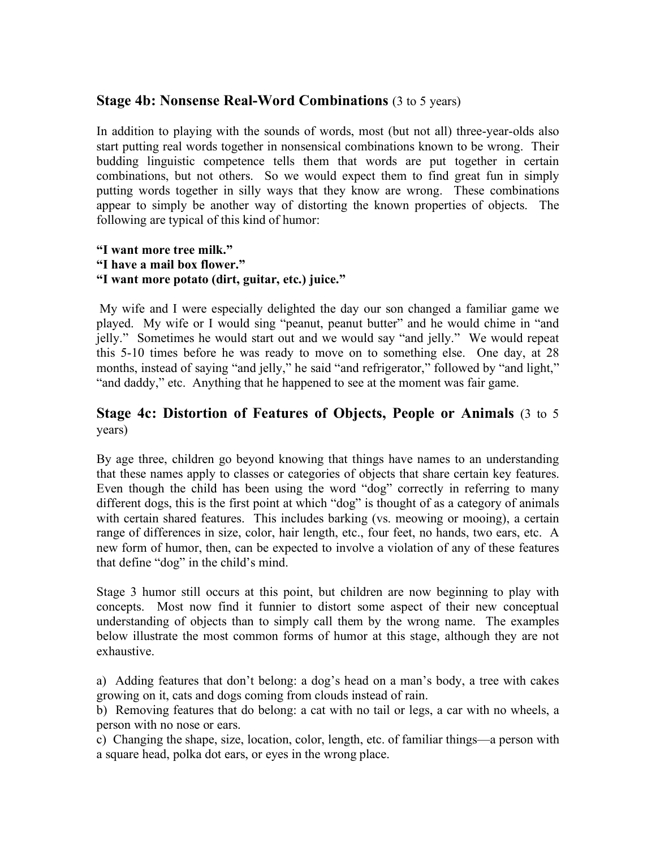#### **Stage 4b: Nonsense Real-Word Combinations** (3 to 5 years)

In addition to playing with the sounds of words, most (but not all) three-year-olds also start putting real words together in nonsensical combinations known to be wrong. Their budding linguistic competence tells them that words are put together in certain combinations, but not others. So we would expect them to find great fun in simply putting words together in silly ways that they know are wrong. These combinations appear to simply be another way of distorting the known properties of objects. The following are typical of this kind of humor:

#### **"I want more tree milk." "I have a mail box flower." "I want more potato (dirt, guitar, etc.) juice."**

My wife and I were especially delighted the day our son changed a familiar game we played. My wife or I would sing "peanut, peanut butter" and he would chime in "and jelly." Sometimes he would start out and we would say "and jelly." We would repeat this 5-10 times before he was ready to move on to something else. One day, at 28 months, instead of saying "and jelly," he said "and refrigerator," followed by "and light," "and daddy," etc. Anything that he happened to see at the moment was fair game.

#### **Stage 4c: Distortion of Features of Objects, People or Animals** (3 to 5 years)

By age three, children go beyond knowing that things have names to an understanding that these names apply to classes or categories of objects that share certain key features. Even though the child has been using the word "dog" correctly in referring to many different dogs, this is the first point at which "dog" is thought of as a category of animals with certain shared features. This includes barking (vs. meowing or mooing), a certain range of differences in size, color, hair length, etc., four feet, no hands, two ears, etc. A new form of humor, then, can be expected to involve a violation of any of these features that define "dog" in the child's mind.

Stage 3 humor still occurs at this point, but children are now beginning to play with concepts. Most now find it funnier to distort some aspect of their new conceptual understanding of objects than to simply call them by the wrong name. The examples below illustrate the most common forms of humor at this stage, although they are not exhaustive.

a) Adding features that don't belong: a dog's head on a man's body, a tree with cakes growing on it, cats and dogs coming from clouds instead of rain.

b) Removing features that do belong: a cat with no tail or legs, a car with no wheels, a person with no nose or ears.

c) Changing the shape, size, location, color, length, etc. of familiar things—a person with a square head, polka dot ears, or eyes in the wrong place.